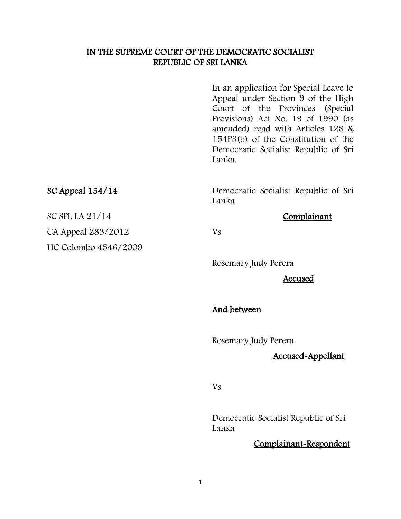#### IN THE SUPREME COURT OF THE DEMOCRATIC SOCIALIST REPUBLIC OF SRI LANKA

In an application for Special Leave to Appeal under Section 9 of the High Court of the Provinces (Special Provisions) Act No. 19 of 1990 (as amended) read with Articles 128 & 154P3(b) of the Constitution of the Democratic Socialist Republic of Sri Lanka.

SC Appeal 154/14 Democratic Socialist Republic of Sri Lanka

Rosemary Judy Perera

Accused

And between

Rosemary Judy Perera

#### Accused-Appellant

Vs

Democratic Socialist Republic of Sri Lanka

#### Complainant-Respondent

SC SPL LA 21/14 Complainant

CA Appeal 283/2012 Vs HC Colombo 4546/2009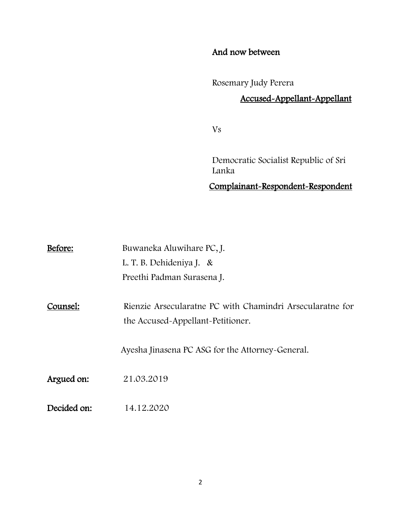### And now between

Rosemary Judy Perera

# Accused-Appellant-Appellant

Vs

Democratic Socialist Republic of Sri Lanka

Complainant-Respondent-Respondent

| Before:     | Buwaneka Aluwihare PC, J.                                                                      |
|-------------|------------------------------------------------------------------------------------------------|
|             | L. T. B. Dehideniya J. &                                                                       |
|             | Preethi Padman Surasena J.                                                                     |
| Counsel:    | Rienzie Arsecularatne PC with Chamindri Arsecularatne for<br>the Accused-Appellant-Petitioner. |
|             | Ayesha Jinasena PC ASG for the Attorney-General.                                               |
| Argued on:  | 21.03.2019                                                                                     |
| Decided on: | 14.12.2020                                                                                     |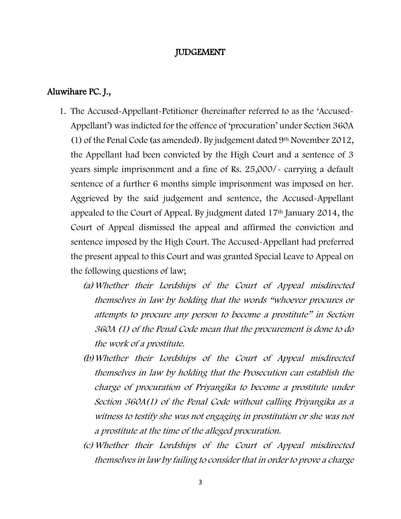#### JUDGEMENT

#### Aluwihare PC. J.,

- 1. The Accused-Appellant-Petitioner (hereinafter referred to as the 'Accused-Appellant') was indicted for the offence of 'procuration' under Section 360A (1) of the Penal Code (as amended). By judgement dated  $9<sup>th</sup>$  November 2012, the Appellant had been convicted by the High Court and a sentence of 3 years simple imprisonment and a fine of Rs. 25,000/- carrying a default sentence of a further 6 months simple imprisonment was imposed on her. Aggrieved by the said judgement and sentence, the Accused-Appellant appealed to the Court of Appeal. By judgment dated 17th January 2014, the Court of Appeal dismissed the appeal and affirmed the conviction and sentence imposed by the High Court. The Accused-Appellant had preferred the present appeal to this Court and was granted Special Leave to Appeal on the following questions of law;
	- (a)Whether their Lordships of the Court of Appeal misdirected themselves in law by holding that the words "whoever procures or attempts to procure any person to become a prostitute" in Section 360A (1) of the Penal Code mean that the procurement is done to do the work of a prostitute.
	- (b)Whether their Lordships of the Court of Appeal misdirected themselves in law by holding that the Prosecution can establish the charge of procuration of Priyangika to become a prostitute under Section 360A(1) of the Penal Code without calling Priyangika as a witness to testify she was not engaging in prostitution or she was not a prostitute at the time of the alleged procuration.
	- (c)Whether their Lordships of the Court of Appeal misdirected themselves in law by failing to consider that in order to prove a charge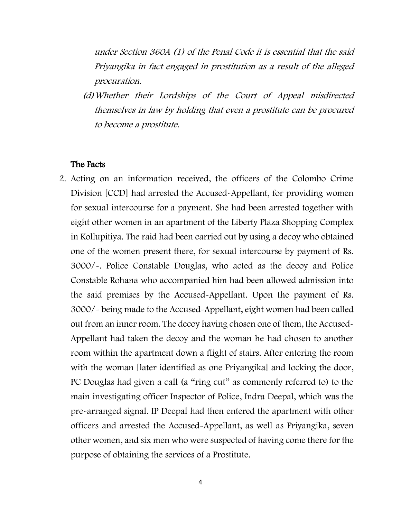under Section 360A (1) of the Penal Code it is essential that the said Priyangika in fact engaged in prostitution as a result of the alleged procuration.

(d)Whether their Lordships of the Court of Appeal misdirected themselves in law by holding that even a prostitute can be procured to become a prostitute.

#### The Facts

2. Acting on an information received, the officers of the Colombo Crime Division [CCD] had arrested the Accused-Appellant, for providing women for sexual intercourse for a payment. She had been arrested together with eight other women in an apartment of the Liberty Plaza Shopping Complex in Kollupitiya. The raid had been carried out by using a decoy who obtained one of the women present there, for sexual intercourse by payment of Rs. 3000/-. Police Constable Douglas, who acted as the decoy and Police Constable Rohana who accompanied him had been allowed admission into the said premises by the Accused-Appellant. Upon the payment of Rs. 3000/- being made to the Accused-Appellant, eight women had been called out from an inner room. The decoy having chosen one of them, the Accused-Appellant had taken the decoy and the woman he had chosen to another room within the apartment down a flight of stairs. After entering the room with the woman *[later identified as one Priyangika]* and *locking the door*, PC Douglas had given a call (a "ring cut" as commonly referred to) to the main investigating officer Inspector of Police, Indra Deepal, which was the pre-arranged signal. IP Deepal had then entered the apartment with other officers and arrested the Accused-Appellant, as well as Priyangika, seven other women, and six men who were suspected of having come there for the purpose of obtaining the services of a Prostitute.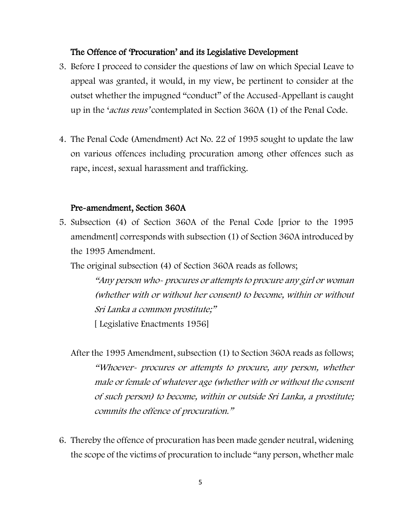#### The Offence of 'Procuration' and its Legislative Development

- 3. Before I proceed to consider the questions of law on which Special Leave to appeal was granted, it would, in my view, be pertinent to consider at the outset whether the impugned "conduct" of the Accused-Appellant is caught up in the 'actus reus' contemplated in Section 360A (1) of the Penal Code.
- 4. The Penal Code (Amendment) Act No. 22 of 1995 sought to update the law on various offences including procuration among other offences such as rape, incest, sexual harassment and trafficking.

#### Pre-amendment, Section 360A

5. Subsection (4) of Section 360A of the Penal Code [prior to the 1995 amendment] corresponds with subsection (1) of Section 360A introduced by the 1995 Amendment.

The original subsection (4) of Section 360A reads as follows;

"Any person who- procures or attempts to procure any girl or woman (whether with or without her consent) to become, within or without Sri Lanka a common prostitute;"

[ Legislative Enactments 1956]

After the 1995 Amendment, subsection (1) to Section 360A reads as follows; "Whoever- procures or attempts to procure, any person, whether male or female of whatever age (whether with or without the consent of such person) to become, within or outside Sri Lanka, a prostitute; commits the offence of procuration."

6. Thereby the offence of procuration has been made gender neutral, widening the scope of the victims of procuration to include "any person, whether male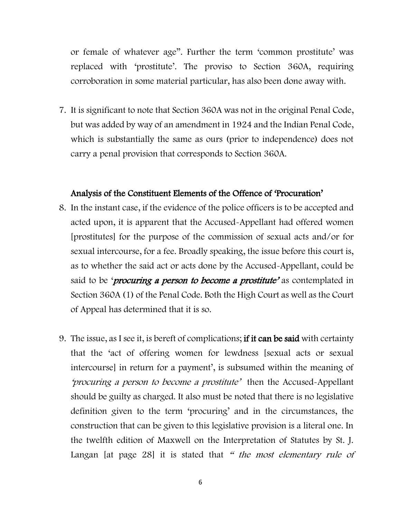or female of whatever age". Further the term 'common prostitute' was replaced with 'prostitute'. The proviso to Section 360A, requiring corroboration in some material particular, has also been done away with.

7. It is significant to note that Section 360A was not in the original Penal Code, but was added by way of an amendment in 1924 and the Indian Penal Code, which is substantially the same as ours (prior to independence) does not carry a penal provision that corresponds to Section 360A.

#### Analysis of the Constituent Elements of the Offence of 'Procuration'

- 8. In the instant case, if the evidence of the police officers is to be accepted and acted upon, it is apparent that the Accused-Appellant had offered women [prostitutes] for the purpose of the commission of sexual acts and/or for sexual intercourse, for a fee. Broadly speaking, the issue before this court is, as to whether the said act or acts done by the Accused-Appellant, could be said to be '*procuring a person to become a prostitute'* as contemplated in Section 360A (1) of the Penal Code. Both the High Court as well as the Court of Appeal has determined that it is so.
- 9. The issue, as I see it, is bereft of complications; if it can be said with certainty that the 'act of offering women for lewdness [sexual acts or sexual intercourse] in return for a payment', is subsumed within the meaning of 'procuring a person to become a prostitute' then the Accused-Appellant should be guilty as charged. It also must be noted that there is no legislative definition given to the term 'procuring' and in the circumstances, the construction that can be given to this legislative provision is a literal one. In the twelfth edition of Maxwell on the Interpretation of Statutes by St. J. Langan [at page 28] it is stated that " the most elementary rule of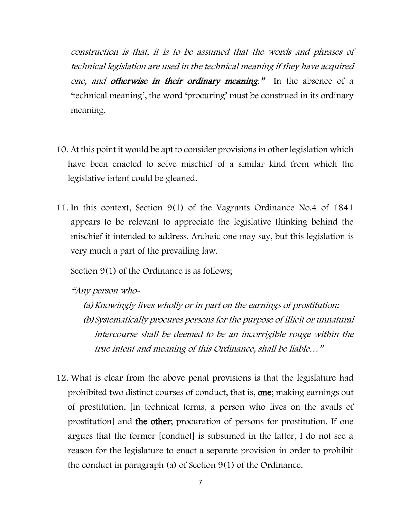construction is that, it is to be assumed that the words and phrases of technical legislation are used in the technical meaning if they have acquired one, and otherwise in their ordinary meaning." In the absence of a 'technical meaning', the word 'procuring' must be construed in its ordinary meaning.

- 10. At this point it would be apt to consider provisions in other legislation which have been enacted to solve mischief of a similar kind from which the legislative intent could be gleaned.
- 11. In this context, Section 9(1) of the Vagrants Ordinance No.4 of 1841 appears to be relevant to appreciate the legislative thinking behind the mischief it intended to address. Archaic one may say, but this legislation is very much a part of the prevailing law.

Section 9(1) of the Ordinance is as follows;

"Any person who-

(a)Knowingly lives wholly or in part on the earnings of prostitution; (b)Systematically procures persons for the purpose of illicit or unnatural intercourse shall be deemed to be an incorrigible rouge within the true intent and meaning of this Ordinance, shall be liable…"

12. What is clear from the above penal provisions is that the legislature had prohibited two distinct courses of conduct, that is, one; making earnings out of prostitution, [in technical terms, a person who lives on the avails of prostitution] and the other; procuration of persons for prostitution. If one argues that the former [conduct] is subsumed in the latter, I do not see a reason for the legislature to enact a separate provision in order to prohibit the conduct in paragraph (a) of Section 9(1) of the Ordinance.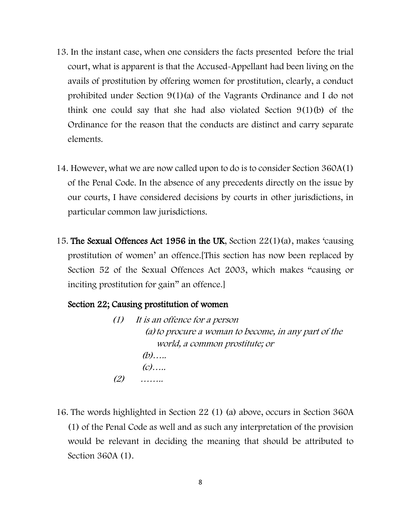- 13. In the instant case, when one considers the facts presented before the trial court, what is apparent is that the Accused-Appellant had been living on the avails of prostitution by offering women for prostitution, clearly, a conduct prohibited under Section 9(1)(a) of the Vagrants Ordinance and I do not think one could say that she had also violated Section 9(1)(b) of the Ordinance for the reason that the conducts are distinct and carry separate elements.
- 14. However, what we are now called upon to do is to consider Section 360A(1) of the Penal Code. In the absence of any precedents directly on the issue by our courts, I have considered decisions by courts in other jurisdictions, in particular common law jurisdictions.
- 15. The Sexual Offences Act 1956 in the UK, Section 22(1)(a), makes 'causing prostitution of women' an offence.[This section has now been replaced by Section 52 of the Sexual Offences Act 2003, which makes "causing or inciting prostitution for gain" an offence.]

#### Section 22; Causing prostitution of women

- (1) It is an offence for a person (a)to procure a woman to become, in any part of the world, a common prostitute; or (b)…..  $(c)$ …..  $(2)$  ……
- 16. The words highlighted in Section 22 (1) (a) above, occurs in Section 360A (1) of the Penal Code as well and as such any interpretation of the provision would be relevant in deciding the meaning that should be attributed to Section 360A (1).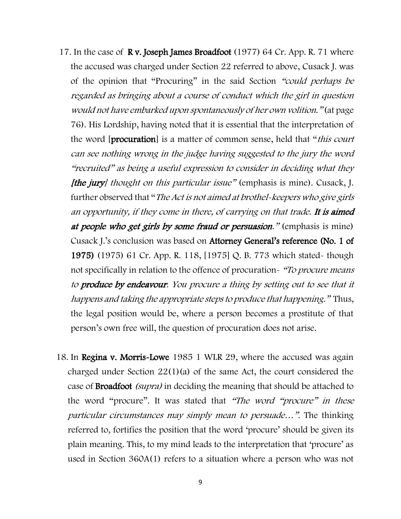- 17. In the case of R v. Joseph James Broadfoot (1977) 64 Cr. App. R. 71 where the accused was charged under Section 22 referred to above, Cusack J. was of the opinion that "Procuring" in the said Section "could perhaps be regarded as bringing about a course of conduct which the girl in question would not have embarked upon spontaneously of her own volition." (at page 76). His Lordship, having noted that it is essential that the interpretation of the word [procuration] is a matter of common sense, held that "*this court* can see nothing wrong in the judge having suggested to the jury the word "recruited" as being a useful expression to consider in deciding what they [the jury] thought on this particular issue" (emphasis is mine). Cusack, J. further observed that "The Act is not aimed at brothel-keepers who give girls an opportunity, if they come in there, of carrying on that trade. It is aimed at people who get girls by some fraud or persuasion." (emphasis is mine) Cusack J.'s conclusion was based on Attorney General's reference (No. 1 of 1975) (1975) 61 Cr. App. R. 118, [1975] Q. B. 773 which stated- though not specifically in relation to the offence of procuration- "To procure means" to produce by endeavour. You procure a thing by setting out to see that it happens and taking the appropriate steps to produce that happening." Thus, the legal position would be, where a person becomes a prostitute of that person's own free will, the question of procuration does not arise.
- 18. In Regina v. Morris-Lowe 1985 1 WLR 29, where the accused was again charged under Section 22(1)(a) of the same Act, the court considered the case of Broadfoot (supra) in deciding the meaning that should be attached to the word "procure". It was stated that "The word "procure" in these particular circumstances may simply mean to persuade…". The thinking referred to, fortifies the position that the word 'procure' should be given its plain meaning. This, to my mind leads to the interpretation that 'procure' as used in Section 360A(1) refers to a situation where a person who was not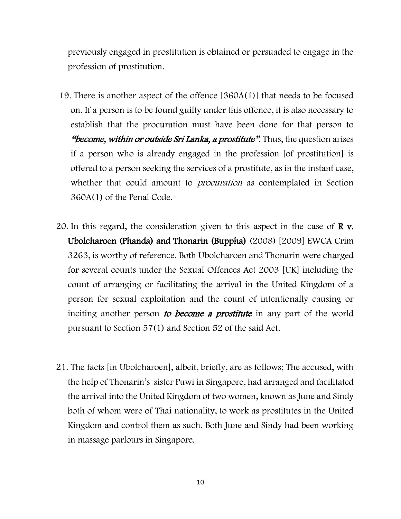previously engaged in prostitution is obtained or persuaded to engage in the profession of prostitution.

- 19. There is another aspect of the offence [360A(1)] that needs to be focused on. If a person is to be found guilty under this offence, it is also necessary to establish that the procuration must have been done for that person to "become, within or outside Sri Lanka, a prostitute". Thus, the question arises if a person who is already engaged in the profession [of prostitution] is offered to a person seeking the services of a prostitute, as in the instant case, whether that could amount to *procuration* as contemplated in Section 360A(1) of the Penal Code.
- 20. In this regard, the consideration given to this aspect in the case of  $\bf{R}$  v. Ubolcharoen (Phanda) and Thonarin (Buppha) (2008) [2009] EWCA Crim 3263, is worthy of reference. Both Ubolcharoen and Thonarin were charged for several counts under the Sexual Offences Act 2003 [UK] including the count of arranging or facilitating the arrival in the United Kingdom of a person for sexual exploitation and the count of intentionally causing or inciting another person to become a prostitute in any part of the world pursuant to Section 57(1) and Section 52 of the said Act.
- 21. The facts [in Ubolcharoen], albeit, briefly, are as follows; The accused, with the help of Thonarin's sister Puwi in Singapore, had arranged and facilitated the arrival into the United Kingdom of two women, known as June and Sindy both of whom were of Thai nationality, to work as prostitutes in the United Kingdom and control them as such. Both June and Sindy had been working in massage parlours in Singapore.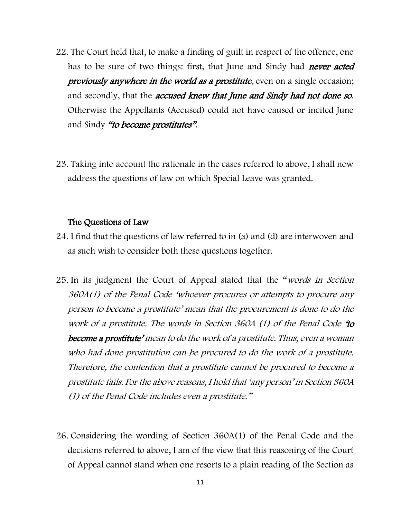- 22. The Court held that, to make a finding of guilt in respect of the offence, one has to be sure of two things: first, that June and Sindy had *never acted* previously anywhere in the world as a prostitute, even on a single occasion; and secondly, that the *accused knew that June and Sindy had not done so*. Otherwise the Appellants (Accused) could not have caused or incited June and Sindy "to become prostitutes".
- 23. Taking into account the rationale in the cases referred to above, I shall now address the questions of law on which Special Leave was granted.

#### The Questions of Law

- 24. I find that the questions of law referred to in (a) and (d) are interwoven and as such wish to consider both these questions together.
- 25. In its judgment the Court of Appeal stated that the "words in Section 360A(1) of the Penal Code 'whoever procures or attempts to procure any person to become a prostitute' mean that the procurement is done to do the work of a prostitute. The words in Section 360A (1) of the Penal Code 'to become a prostitute' mean to do the work of a prostitute. Thus, even a woman who had done prostitution can be procured to do the work of a prostitute. Therefore, the contention that a prostitute cannot be procured to become a prostitute fails. For the above reasons, I hold that 'any person' in Section 360A (1) of the Penal Code includes even a prostitute."
- 26. Considering the wording of Section 360A(1) of the Penal Code and the decisions referred to above, I am of the view that this reasoning of the Court of Appeal cannot stand when one resorts to a plain reading of the Section as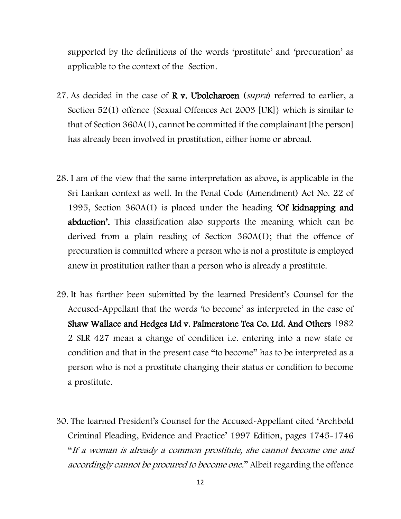supported by the definitions of the words 'prostitute' and 'procuration' as applicable to the context of the Section.

- 27. As decided in the case of **R** v. Ubolcharoen (*supra*) referred to earlier, a Section 52(1) offence {Sexual Offences Act 2003 [UK]} which is similar to that of Section 360A(1), cannot be committed if the complainant [the person] has already been involved in prostitution, either home or abroad.
- 28. I am of the view that the same interpretation as above, is applicable in the Sri Lankan context as well. In the Penal Code (Amendment) Act No. 22 of 1995, Section 360A(1) is placed under the heading 'Of kidnapping and abduction'. This classification also supports the meaning which can be derived from a plain reading of Section 360A(1); that the offence of procuration is committed where a person who is not a prostitute is employed anew in prostitution rather than a person who is already a prostitute.
- 29. It has further been submitted by the learned President's Counsel for the Accused-Appellant that the words 'to become' as interpreted in the case of Shaw Wallace and Hedges Ltd v. Palmerstone Tea Co. Ltd. And Others 1982 2 SLR 427 mean a change of condition i.e. entering into a new state or condition and that in the present case "to become" has to be interpreted as a person who is not a prostitute changing their status or condition to become a prostitute.
- 30. The learned President's Counsel for the Accused-Appellant cited 'Archbold Criminal Pleading, Evidence and Practice' 1997 Edition, pages 1745-1746 "If a woman is already a common prostitute, she cannot become one and accordingly cannot be procured to become one." Albeit regarding the offence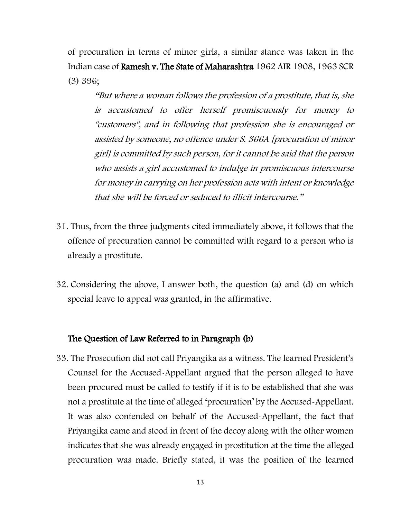of procuration in terms of minor girls, a similar stance was taken in the Indian case of Ramesh v. The State of Maharashtra 1962 AIR 1908, 1963 SCR (3) 396;

"But where a woman follows the profession of a prostitute, that is, she is accustomed to offer herself promiscuously for money to "customers", and in following that profession she is encouraged or assisted by someone, no offence under S. 366A [procuration of minor girl] is committed by such person, for it cannot be said that the person who assists a girl accustomed to indulge in promiscuous intercourse for money in carrying on her profession acts with intent or knowledge that she will be forced or seduced to illicit intercourse."

- 31. Thus, from the three judgments cited immediately above, it follows that the offence of procuration cannot be committed with regard to a person who is already a prostitute.
- 32. Considering the above, I answer both, the question (a) and (d) on which special leave to appeal was granted, in the affirmative.

#### The Question of Law Referred to in Paragraph (b)

33. The Prosecution did not call Priyangika as a witness. The learned President's Counsel for the Accused-Appellant argued that the person alleged to have been procured must be called to testify if it is to be established that she was not a prostitute at the time of alleged 'procuration' by the Accused-Appellant. It was also contended on behalf of the Accused-Appellant, the fact that Priyangika came and stood in front of the decoy along with the other women indicates that she was already engaged in prostitution at the time the alleged procuration was made. Briefly stated, it was the position of the learned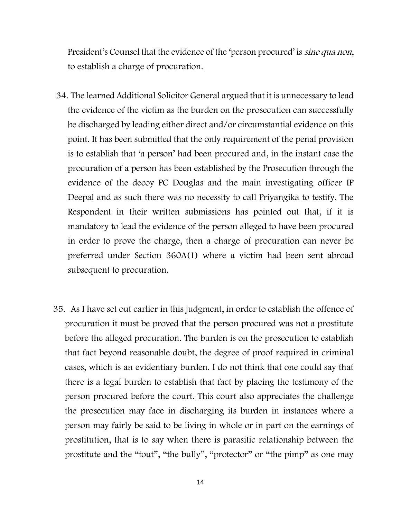President's Counsel that the evidence of the 'person procured' is *sine qua non*, to establish a charge of procuration.

- 34. The learned Additional Solicitor General argued that it is unnecessary to lead the evidence of the victim as the burden on the prosecution can successfully be discharged by leading either direct and/or circumstantial evidence on this point. It has been submitted that the only requirement of the penal provision is to establish that 'a person' had been procured and, in the instant case the procuration of a person has been established by the Prosecution through the evidence of the decoy PC Douglas and the main investigating officer IP Deepal and as such there was no necessity to call Priyangika to testify. The Respondent in their written submissions has pointed out that, if it is mandatory to lead the evidence of the person alleged to have been procured in order to prove the charge, then a charge of procuration can never be preferred under Section 360A(1) where a victim had been sent abroad subsequent to procuration.
- 35. As I have set out earlier in this judgment, in order to establish the offence of procuration it must be proved that the person procured was not a prostitute before the alleged procuration. The burden is on the prosecution to establish that fact beyond reasonable doubt, the degree of proof required in criminal cases, which is an evidentiary burden. I do not think that one could say that there is a legal burden to establish that fact by placing the testimony of the person procured before the court. This court also appreciates the challenge the prosecution may face in discharging its burden in instances where a person may fairly be said to be living in whole or in part on the earnings of prostitution, that is to say when there is parasitic relationship between the prostitute and the "tout", "the bully", "protector" or "the pimp" as one may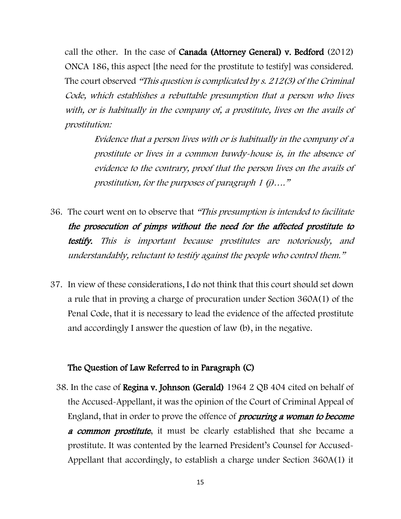call the other. In the case of Canada (Attorney General) v. Bedford (2012) ONCA 186, this aspect [the need for the prostitute to testify] was considered. The court observed "This question is complicated by s. 212(3) of the Criminal Code, which establishes a rebuttable presumption that a person who lives with, or is habitually in the company of, a prostitute, lives on the avails of prostitution:

> Evidence that a person lives with or is habitually in the company of a prostitute or lives in a common bawdy-house is, in the absence of evidence to the contrary, proof that the person lives on the avails of prostitution, for the purposes of paragraph 1 (j)…."

- 36. The court went on to observe that "This presumption is intended to facilitate the prosecution of pimps without the need for the affected prostitute to testify. This is important because prostitutes are notoriously, and understandably, reluctant to testify against the people who control them."
- 37. In view of these considerations, I do not think that this court should set down a rule that in proving a charge of procuration under Section 360A(1) of the Penal Code, that it is necessary to lead the evidence of the affected prostitute and accordingly I answer the question of law (b), in the negative.

#### The Question of Law Referred to in Paragraph (C)

38. In the case of Regina v. Johnson (Gerald) 1964 2 QB 404 cited on behalf of the Accused-Appellant, it was the opinion of the Court of Criminal Appeal of England, that in order to prove the offence of *procuring a woman to become* **a common prostitute**, it must be clearly established that she became a prostitute. It was contented by the learned President's Counsel for Accused-Appellant that accordingly, to establish a charge under Section 360A(1) it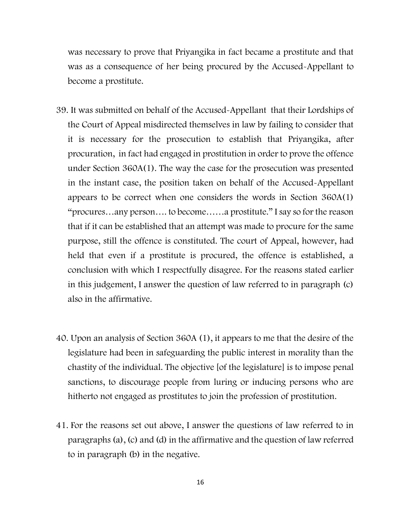was necessary to prove that Priyangika in fact became a prostitute and that was as a consequence of her being procured by the Accused-Appellant to become a prostitute.

- 39. It was submitted on behalf of the Accused-Appellant that their Lordships of the Court of Appeal misdirected themselves in law by failing to consider that it is necessary for the prosecution to establish that Priyangika, after procuration, in fact had engaged in prostitution in order to prove the offence under Section 360A(1). The way the case for the prosecution was presented in the instant case, the position taken on behalf of the Accused-Appellant appears to be correct when one considers the words in Section 360A(1) "procures…any person…. to become……a prostitute." I say so for the reason that if it can be established that an attempt was made to procure for the same purpose, still the offence is constituted. The court of Appeal, however, had held that even if a prostitute is procured, the offence is established, a conclusion with which I respectfully disagree. For the reasons stated earlier in this judgement, I answer the question of law referred to in paragraph (c) also in the affirmative.
- 40. Upon an analysis of Section 360A (1), it appears to me that the desire of the legislature had been in safeguarding the public interest in morality than the chastity of the individual. The objective [of the legislature] is to impose penal sanctions, to discourage people from luring or inducing persons who are hitherto not engaged as prostitutes to join the profession of prostitution.
- 41. For the reasons set out above, I answer the questions of law referred to in paragraphs (a), (c) and (d) in the affirmative and the question of law referred to in paragraph (b) in the negative.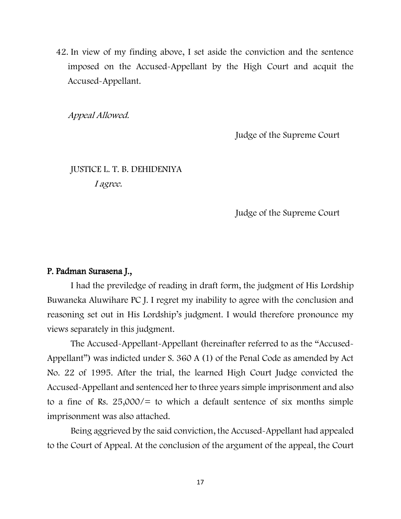42. In view of my finding above, I set aside the conviction and the sentence imposed on the Accused-Appellant by the High Court and acquit the Accused-Appellant.

Appeal Allowed.

Judge of the Supreme Court

## JUSTICE L. T. B. DEHIDENIYA I agree.

Judge of the Supreme Court

#### P. Padman Surasena J.,

I had the previledge of reading in draft form, the judgment of His Lordship Buwaneka Aluwihare PC J. I regret my inability to agree with the conclusion and reasoning set out in His Lordship's judgment. I would therefore pronounce my views separately in this judgment.

The Accused-Appellant-Appellant (hereinafter referred to as the "Accused-Appellant") was indicted under S. 360 A (1) of the Penal Code as amended by Act No. 22 of 1995. After the trial, the learned High Court Judge convicted the Accused-Appellant and sentenced her to three years simple imprisonment and also to a fine of Rs.  $25,000/$  to which a default sentence of six months simple imprisonment was also attached.

Being aggrieved by the said conviction, the Accused-Appellant had appealed to the Court of Appeal. At the conclusion of the argument of the appeal, the Court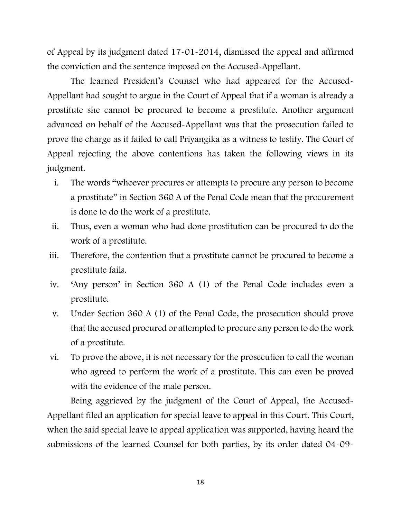of Appeal by its judgment dated 17-01-2014, dismissed the appeal and affirmed the conviction and the sentence imposed on the Accused-Appellant.

The learned President's Counsel who had appeared for the Accused-Appellant had sought to argue in the Court of Appeal that if a woman is already a prostitute she cannot be procured to become a prostitute. Another argument advanced on behalf of the Accused-Appellant was that the prosecution failed to prove the charge as it failed to call Priyangika as a witness to testify. The Court of Appeal rejecting the above contentions has taken the following views in its judgment.

- i. The words "whoever procures or attempts to procure any person to become a prostitute" in Section 360 A of the Penal Code mean that the procurement is done to do the work of a prostitute.
- ii. Thus, even a woman who had done prostitution can be procured to do the work of a prostitute.
- iii. Therefore, the contention that a prostitute cannot be procured to become a prostitute fails.
- iv. 'Any person' in Section 360 A (1) of the Penal Code includes even a prostitute.
- v. Under Section 360 A (1) of the Penal Code, the prosecution should prove that the accused procured or attempted to procure any person to do the work of a prostitute.
- vi. To prove the above, it is not necessary for the prosecution to call the woman who agreed to perform the work of a prostitute. This can even be proved with the evidence of the male person.

Being aggrieved by the judgment of the Court of Appeal, the Accused-Appellant filed an application for special leave to appeal in this Court. This Court, when the said special leave to appeal application was supported, having heard the submissions of the learned Counsel for both parties, by its order dated 04-09-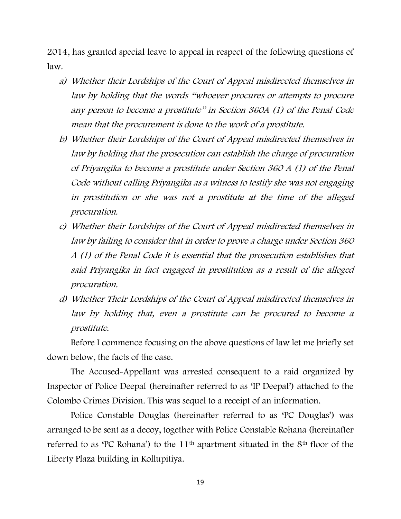2014, has granted special leave to appeal in respect of the following questions of law.

- a) Whether their Lordships of the Court of Appeal misdirected themselves in law by holding that the words "whoever procures or attempts to procure any person to become a prostitute" in Section 360A (1) of the Penal Code mean that the procurement is done to the work of a prostitute.
- b) Whether their Lordships of the Court of Appeal misdirected themselves in law by holding that the prosecution can establish the charge of procuration of Priyangika to become a prostitute under Section 360 A (1) of the Penal Code without calling Priyangika as a witness to testify she was not engaging in prostitution or she was not a prostitute at the time of the alleged procuration.
- c) Whether their Lordships of the Court of Appeal misdirected themselves in law by failing to consider that in order to prove a charge under Section 360 A (1) of the Penal Code it is essential that the prosecution establishes that said Priyangika in fact engaged in prostitution as a result of the alleged procuration.
- d) Whether Their Lordships of the Court of Appeal misdirected themselves in law by holding that, even a prostitute can be procured to become a prostitute.

Before I commence focusing on the above questions of law let me briefly set down below, the facts of the case.

The Accused-Appellant was arrested consequent to a raid organized by Inspector of Police Deepal (hereinafter referred to as 'IP Deepal') attached to the Colombo Crimes Division. This was sequel to a receipt of an information.

Police Constable Douglas (hereinafter referred to as 'PC Douglas') was arranged to be sent as a decoy, together with Police Constable Rohana (hereinafter referred to as 'PC Rohana') to the 11<sup>th</sup> apartment situated in the 8<sup>th</sup> floor of the Liberty Plaza building in Kollupitiya.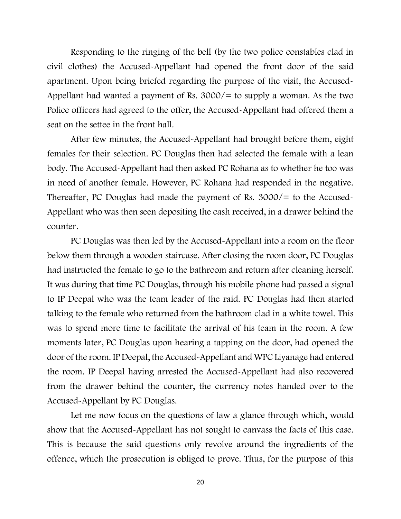Responding to the ringing of the bell (by the two police constables clad in civil clothes) the Accused-Appellant had opened the front door of the said apartment. Upon being briefed regarding the purpose of the visit, the Accused-Appellant had wanted a payment of Rs.  $3000/15$  to supply a woman. As the two Police officers had agreed to the offer, the Accused-Appellant had offered them a seat on the settee in the front hall.

After few minutes, the Accused-Appellant had brought before them, eight females for their selection. PC Douglas then had selected the female with a lean body. The Accused-Appellant had then asked PC Rohana as to whether he too was in need of another female. However, PC Rohana had responded in the negative. Thereafter, PC Douglas had made the payment of Rs. 3000/= to the Accused-Appellant who was then seen depositing the cash received, in a drawer behind the counter.

PC Douglas was then led by the Accused-Appellant into a room on the floor below them through a wooden staircase. After closing the room door, PC Douglas had instructed the female to go to the bathroom and return after cleaning herself. It was during that time PC Douglas, through his mobile phone had passed a signal to IP Deepal who was the team leader of the raid. PC Douglas had then started talking to the female who returned from the bathroom clad in a white towel. This was to spend more time to facilitate the arrival of his team in the room. A few moments later, PC Douglas upon hearing a tapping on the door, had opened the door of the room. IP Deepal, the Accused-Appellant and WPC Liyanage had entered the room. IP Deepal having arrested the Accused-Appellant had also recovered from the drawer behind the counter, the currency notes handed over to the Accused-Appellant by PC Douglas.

Let me now focus on the questions of law a glance through which, would show that the Accused-Appellant has not sought to canvass the facts of this case. This is because the said questions only revolve around the ingredients of the offence, which the prosecution is obliged to prove. Thus, for the purpose of this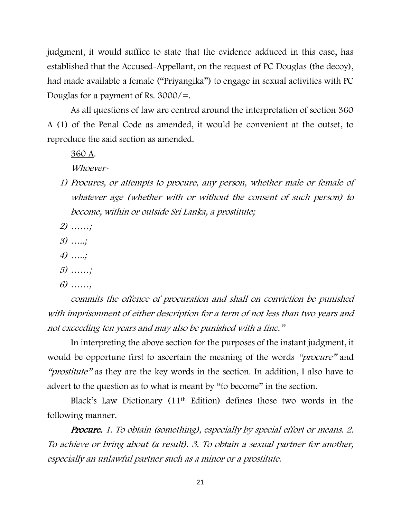judgment, it would suffice to state that the evidence adduced in this case, has established that the Accused-Appellant, on the request of PC Douglas (the decoy), had made available a female ("Priyangika") to engage in sexual activities with PC Douglas for a payment of Rs. 3000/=.

As all questions of law are centred around the interpretation of section 360 A (1) of the Penal Code as amended, it would be convenient at the outset, to reproduce the said section as amended.

360 A.

Whoever-

- 1) Procures, or attempts to procure, any person, whether male or female of whatever age (whether with or without the consent of such person) to become, within or outside Sri Lanka, a prostitute;
- 2) ……;
- 3) …..;
- 4) …..;
- 5) ……;
- 6) ……,

commits the offence of procuration and shall on conviction be punished with imprisonment of either description for a term of not less than two years and not exceeding ten years and may also be punished with a fine."

In interpreting the above section for the purposes of the instant judgment, it would be opportune first to ascertain the meaning of the words "*procure*" and "*prostitute*" as they are the key words in the section. In addition, I also have to advert to the question as to what is meant by "to become" in the section.

Black's Law Dictionary (11th Edition) defines those two words in the following manner.

Procure. 1. To obtain (something), especially by special effort or means. 2. To achieve or bring about (a result). 3. To obtain a sexual partner for another, especially an unlawful partner such as a minor or a prostitute.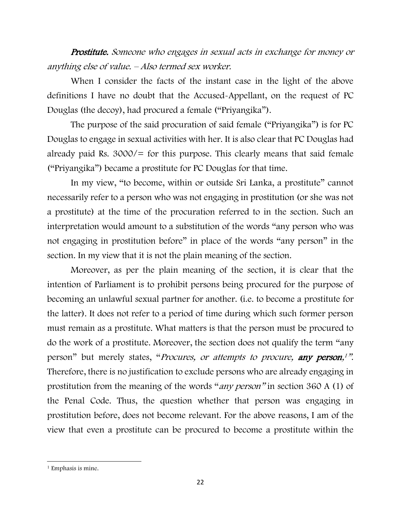Prostitute. Someone who engages in sexual acts in exchange for money or anything else of value. – Also termed sex worker.

When I consider the facts of the instant case in the light of the above definitions I have no doubt that the Accused-Appellant, on the request of PC Douglas (the decoy), had procured a female ("Priyangika").

The purpose of the said procuration of said female ("Priyangika") is for PC Douglas to engage in sexual activities with her. It is also clear that PC Douglas had already paid Rs.  $3000/$  for this purpose. This clearly means that said female ("Priyangika") became a prostitute for PC Douglas for that time.

In my view, "to become, within or outside Sri Lanka, a prostitute" cannot necessarily refer to a person who was not engaging in prostitution (or she was not a prostitute) at the time of the procuration referred to in the section. Such an interpretation would amount to a substitution of the words "any person who was not engaging in prostitution before" in place of the words "any person" in the section. In my view that it is not the plain meaning of the section.

Moreover, as per the plain meaning of the section, it is clear that the intention of Parliament is to prohibit persons being procured for the purpose of becoming an unlawful sexual partner for another. (i.e. to become a prostitute for the latter). It does not refer to a period of time during which such former person must remain as a prostitute. What matters is that the person must be procured to do the work of a prostitute. Moreover, the section does not qualify the term "any person" but merely states, "*Procures, or attempts to procure, any person,<sup>1"</sup>.* Therefore, there is no justification to exclude persons who are already engaging in prostitution from the meaning of the words "any person" in section 360 A (1) of the Penal Code. Thus, the question whether that person was engaging in prostitution before, does not become relevant. For the above reasons, I am of the view that even a prostitute can be procured to become a prostitute within the

<sup>&</sup>lt;sup>1</sup> Emphasis is mine.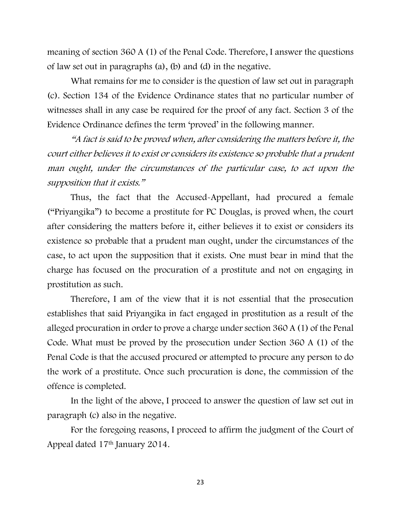meaning of section 360 A (1) of the Penal Code. Therefore, I answer the questions of law set out in paragraphs (a), (b) and (d) in the negative.

What remains for me to consider is the question of law set out in paragraph (c). Section 134 of the Evidence Ordinance states that no particular number of witnesses shall in any case be required for the proof of any fact. Section 3 of the Evidence Ordinance defines the term 'proved' in the following manner.

"A fact is said to be proved when, after considering the matters before it, the court either believes it to exist or considers its existence so probable that a prudent man ought, under the circumstances of the particular case, to act upon the supposition that it exists."

Thus, the fact that the Accused-Appellant, had procured a female ("Priyangika") to become a prostitute for PC Douglas, is proved when, the court after considering the matters before it, either believes it to exist or considers its existence so probable that a prudent man ought, under the circumstances of the case, to act upon the supposition that it exists. One must bear in mind that the charge has focused on the procuration of a prostitute and not on engaging in prostitution as such.

Therefore, I am of the view that it is not essential that the prosecution establishes that said Priyangika in fact engaged in prostitution as a result of the alleged procuration in order to prove a charge under section 360 A (1) of the Penal Code. What must be proved by the prosecution under Section 360 A (1) of the Penal Code is that the accused procured or attempted to procure any person to do the work of a prostitute. Once such procuration is done, the commission of the offence is completed.

In the light of the above, I proceed to answer the question of law set out in paragraph (c) also in the negative.

For the foregoing reasons, I proceed to affirm the judgment of the Court of Appeal dated 17th January 2014.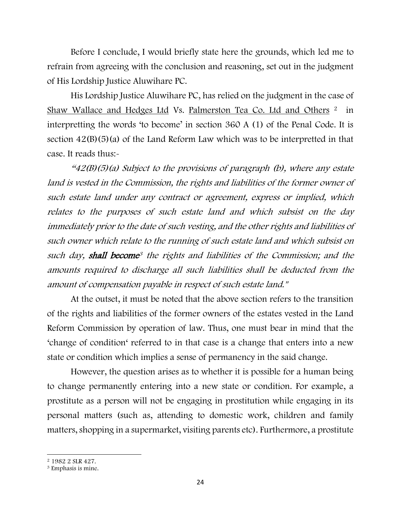Before I conclude, I would briefly state here the grounds, which led me to refrain from agreeing with the conclusion and reasoning, set out in the judgment of His Lordship Justice Aluwihare PC.

His Lordship Justice Aluwihare PC, has relied on the judgment in the case of Shaw Wallace and Hedges Ltd Vs. Palmerston Tea Co. Ltd and Others <sup>2</sup> in interpretting the words 'to become' in section 360 A (1) of the Penal Code. It is section  $42(B)(5)(a)$  of the Land Reform Law which was to be interpretted in that case. It reads thus:-

 $42(B)(5)(a)$  Subject to the provisions of paragraph (b), where any estate land is vested in the Commission, the rights and liabilities of the former owner of such estate land under any contract or agreement, express or implied, which relates to the purposes of such estate land and which subsist on the day immediately prior to the date of such vesting, and the other rights and liabilities of such owner which relate to the running of such estate land and which subsist on such day, **shall become**<sup>3</sup> the rights and liabilities of the Commission; and the amounts required to discharge all such liabilities shall be deducted from the amount of compensation payable in respect of such estate land."

At the outset, it must be noted that the above section refers to the transition of the rights and liabilities of the former owners of the estates vested in the Land Reform Commission by operation of law. Thus, one must bear in mind that the 'change of condition' referred to in that case is a change that enters into a new state or condition which implies a sense of permanency in the said change.

However, the question arises as to whether it is possible for a human being to change permanently entering into a new state or condition. For example, a prostitute as a person will not be engaging in prostitution while engaging in its personal matters (such as, attending to domestic work, children and family matters, shopping in a supermarket, visiting parents etc). Furthermore, a prostitute

<sup>2</sup> 1982 2 SLR 427.

<sup>3</sup> Emphasis is mine.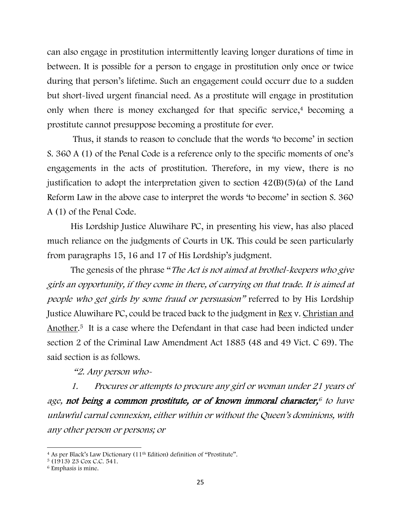can also engage in prostitution intermittently leaving longer durations of time in between. It is possible for a person to engage in prostitution only once or twice during that person's lifetime. Such an engagement could occurr due to a sudden but short-lived urgent financial need. As a prostitute will engage in prostitution only when there is money exchanged for that specific service,<sup>4</sup> becoming a prostitute cannot presuppose becoming a prostitute for ever.

Thus, it stands to reason to conclude that the words 'to become' in section S. 360 A (1) of the Penal Code is a reference only to the specific moments of one's engagements in the acts of prostitution. Therefore, in my view, there is no justification to adopt the interpretation given to section  $42(B)(5)(a)$  of the Land Reform Law in the above case to interpret the words 'to become' in section S. 360 A (1) of the Penal Code.

His Lordship Justice Aluwihare PC, in presenting his view, has also placed much reliance on the judgments of Courts in UK. This could be seen particularly from paragraphs 15, 16 and 17 of His Lordship's judgment.

The genesis of the phrase "The Act is not aimed at brothel-keepers who give girls an opportunity, if they come in there, of carrying on that trade. It is aimed at people who get girls by some fraud or persuasion" referred to by His Lordship Justice Aluwihare PC, could be traced back to the judgment in Rex v. Christian and Another. <sup>5</sup> It is a case where the Defendant in that case had been indicted under section 2 of the Criminal Law Amendment Act 1885 (48 and 49 Vict. C 69). The said section is as follows.

"2. Any person who-

1. Procures or attempts to procure any girl or woman under 21 years of age, not being a common prostitute, or of known immoral character, <sup>6</sup> to have unlawful carnal connexion, either within or without the Queen's dominions, with any other person or persons; or

<sup>4</sup> As per Black's Law Dictionary (11th Edition) definition of "Prostitute".

 $5(1913)$  23 Cox C.C. 541.

<sup>6</sup> Emphasis is mine.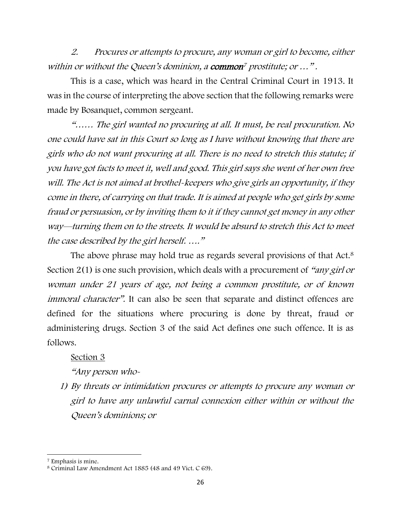2. Procures or attempts to procure, any woman or girl to become, either within or without the Queen's dominion, a common<sup>7</sup> prostitute; or ...".

This is a case, which was heard in the Central Criminal Court in 1913. It was in the course of interpreting the above section that the following remarks were made by Bosanquet, common sergeant.

"…… The girl wanted no procuring at all. It must, be real procuration. No one could have sat in this Court so long as I have without knowing that there are girls who do not want procuring at all. There is no need to stretch this statute; if you have got facts to meet it, well and good. This girl says she went of her own free will. The Act is not aimed at brothel-keepers who give girls an opportunity, if they come in there, of carrying on that trade. It is aimed at people who get girls by some fraud or persuasion, or by inviting them to it if they cannot get money in any other way—turning them on to the streets. It would be absurd to stretch this Act to meet the case described by the girl herself. …."

The above phrase may hold true as regards several provisions of that Act.<sup>8</sup> Section 2(1) is one such provision, which deals with a procurement of "any girl or woman under 21 years of age, not being a common prostitute, or of known immoral character". It can also be seen that separate and distinct offences are defined for the situations where procuring is done by threat, fraud or administering drugs. Section 3 of the said Act defines one such offence. It is as follows.

#### Section 3

### "Any person who-

1) By threats or intimidation procures or attempts to procure any woman or girl to have any unlawful carnal connexion either within or without the Queen's dominions; or

<sup>7</sup> Emphasis is mine.

<sup>8</sup> Criminal Law Amendment Act 1885 (48 and 49 Vict. C 69).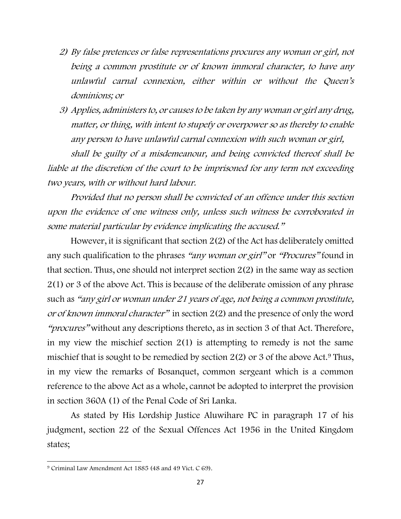- 2) By false pretences or false representations procures any woman or girl, not being a common prostitute or of known immoral character, to have any unlawful carnal connexion, either within or without the Queen's dominions; or
- 3) Applies, administers to, or causes to be taken by any woman or girl any drug, matter, or thing, with intent to stupefy or overpower so as thereby to enable any person to have unlawful carnal connexion with such woman or girl,

shall be guilty of a misdemeanour, and being convicted thereof shall be liable at the discretion of the court to be imprisoned for any term not exceeding two years, with or without hard labour.

Provided that no person shall be convicted of an offence under this section upon the evidence of one witness only, unless such witness be corroborated in some material particular by evidence implicating the accused."

However, it is significant that section 2(2) of the Act has deliberately omitted any such qualification to the phrases "any woman or girl" or "Procures" found in that section. Thus, one should not interpret section 2(2) in the same way as section 2(1) or 3 of the above Act. This is because of the deliberate omission of any phrase such as "any girl or woman under 21 years of age, not being a common prostitute, or of known immoral character" in section 2(2) and the presence of only the word "procures" without any descriptions thereto, as in section 3 of that Act. Therefore, in my view the mischief section 2(1) is attempting to remedy is not the same mischief that is sought to be remedied by section  $2(2)$  or 3 of the above Act.<sup>9</sup> Thus, in my view the remarks of Bosanquet, common sergeant which is a common reference to the above Act as a whole, cannot be adopted to interpret the provision in section 360A (1) of the Penal Code of Sri Lanka.

As stated by His Lordship Justice Aluwihare PC in paragraph 17 of his judgment, section 22 of the Sexual Offences Act 1956 in the United Kingdom states;

<sup>9</sup> Criminal Law Amendment Act 1885 (48 and 49 Vict. C 69).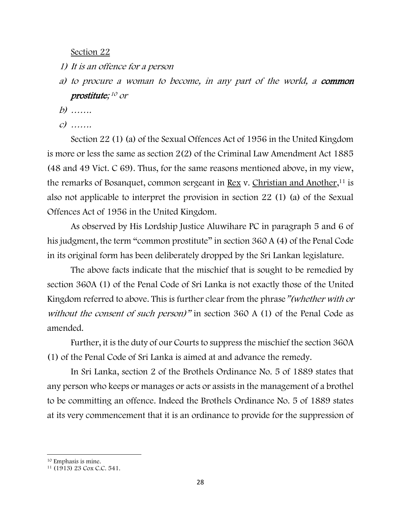Section 22

- 1) It is an offence for a person
- a) to procure a woman to become, in any part of the world, a common prostitute; <sup>10</sup> or
- $b)$  ……
- $c)$  ……

Section 22 (1) (a) of the Sexual Offences Act of 1956 in the United Kingdom is more or less the same as section 2(2) of the Criminal Law Amendment Act 1885 (48 and 49 Vict. C 69). Thus, for the same reasons mentioned above, in my view, the remarks of Bosanquet, common sergeant in <u>Rex</u> v. Christian and Another,<sup>11</sup> is also not applicable to interpret the provision in section 22 (1) (a) of the Sexual Offences Act of 1956 in the United Kingdom.

As observed by His Lordship Justice Aluwihare PC in paragraph 5 and 6 of his judgment, the term "common prostitute" in section 360 A (4) of the Penal Code in its original form has been deliberately dropped by the Sri Lankan legislature.

The above facts indicate that the mischief that is sought to be remedied by section 360A (1) of the Penal Code of Sri Lanka is not exactly those of the United Kingdom referred to above. This is further clear from the phrase "(whether with or without the consent of such person)" in section 360 A (1) of the Penal Code as amended.

Further, it is the duty of our Courts to suppress the mischief the section 360A (1) of the Penal Code of Sri Lanka is aimed at and advance the remedy.

In Sri Lanka, section 2 of the Brothels Ordinance No. 5 of 1889 states that any person who keeps or manages or acts or assists in the management of a brothel to be committing an offence. Indeed the Brothels Ordinance No. 5 of 1889 states at its very commencement that it is an ordinance to provide for the suppression of

<sup>10</sup> Emphasis is mine.

<sup>11</sup> (1913) 23 Cox C.C. 541.